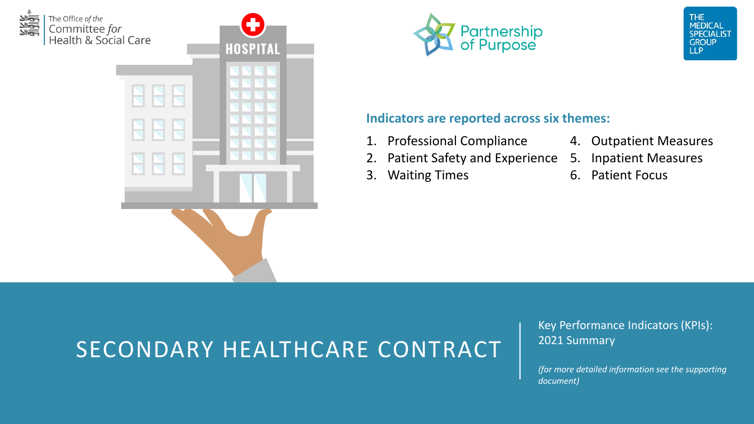







### **Indicators are reported across six themes:**

- 1. Professional Compliance
- 2. Patient Safety and Experience
- 3. Waiting Times
- 4. Outpatient Measures
- 5. Inpatient Measures
- 6. Patient Focus

## SECONDARY HEALTHCARE CONTRACT

Key Performance Indicators (KPIs): 2021 Summary

*(for more detailed information see the supporting document)*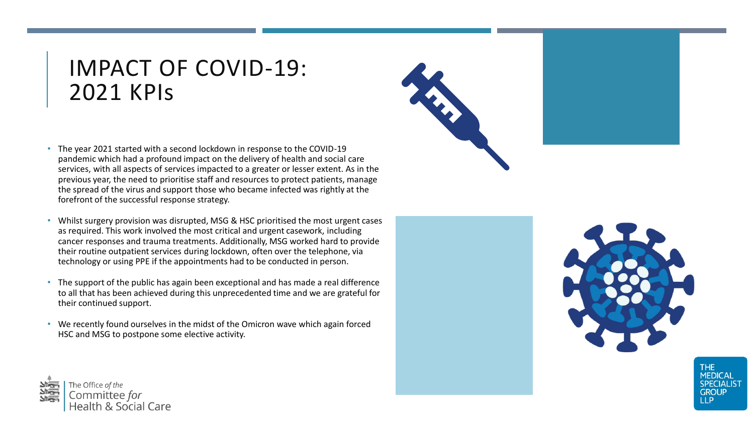### IMPACT OF COVID-19: 2021 KPIs

- The year 2021 started with a second lockdown in response to the COVID-19 pandemic which had a profound impact on the delivery of health and social care services, with all aspects of services impacted to a greater or lesser extent. As in the previous year, the need to prioritise staff and resources to protect patients, manage the spread of the virus and support those who became infected was rightly at the forefront of the successful response strategy.
- Whilst surgery provision was disrupted, MSG & HSC prioritised the most urgent cases as required. This work involved the most critical and urgent casework, including cancer responses and trauma treatments. Additionally, MSG worked hard to provide their routine outpatient services during lockdown, often over the telephone, via technology or using PPE if the appointments had to be conducted in person.
- The support of the public has again been exceptional and has made a real difference to all that has been achieved during this unprecedented time and we are grateful for their continued support.
- We recently found ourselves in the midst of the Omicron wave which again forced HSC and MSG to postpone some elective activity.







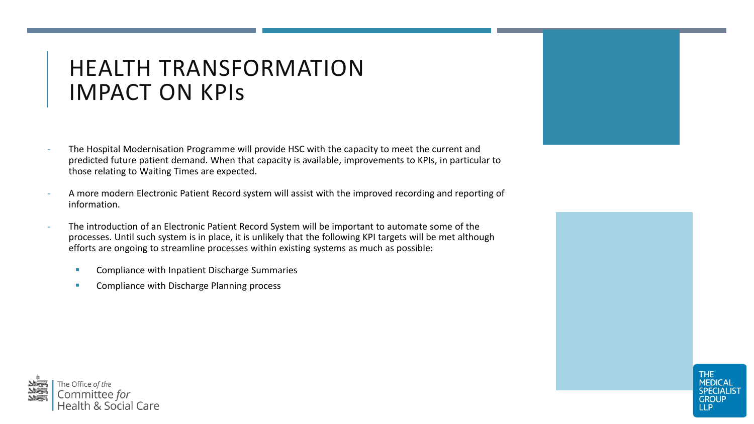### HEALTH TRANSFORMATION IMPACT ON KPIs

- The Hospital Modernisation Programme will provide HSC with the capacity to meet the current and predicted future patient demand. When that capacity is available, improvements to KPIs, in particular to those relating to Waiting Times are expected.
- A more modern Electronic Patient Record system will assist with the improved recording and reporting of information.
- The introduction of an Electronic Patient Record System will be important to automate some of the processes. Until such system is in place, it is unlikely that the following KPI targets will be met although efforts are ongoing to streamline processes within existing systems as much as possible:
	- Compliance with Inpatient Discharge Summaries
	- Compliance with Discharge Planning process





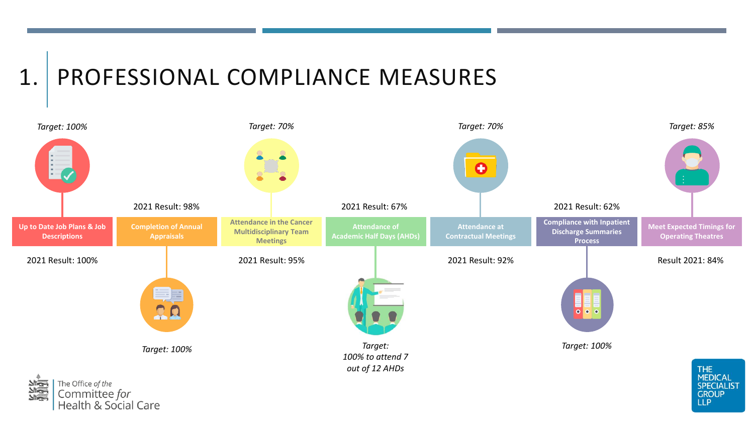## 1. PROFESSIONAL COMPLIANCE MEASURES



**GROUP LLP** 

Committee for<br>Health & Social Care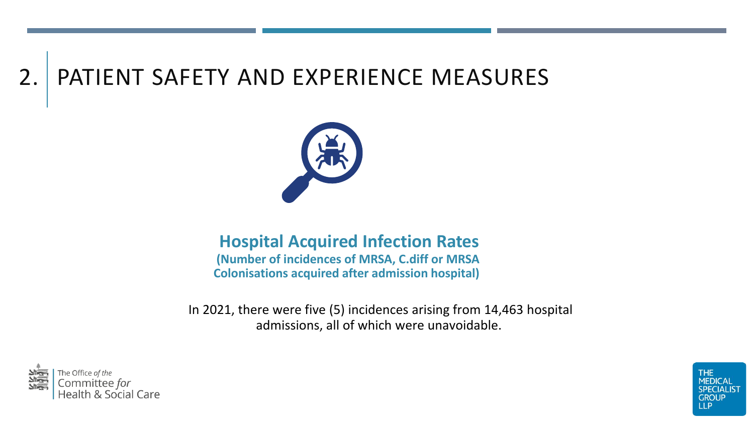## 2. PATIENT SAFETY AND EXPERIENCE MEASURES



### **Hospital Acquired Infection Rates**

**(Number of incidences of MRSA, C.diff or MRSA Colonisations acquired after admission hospital)**

In 2021, there were five (5) incidences arising from 14,463 hospital admissions, all of which were unavoidable.



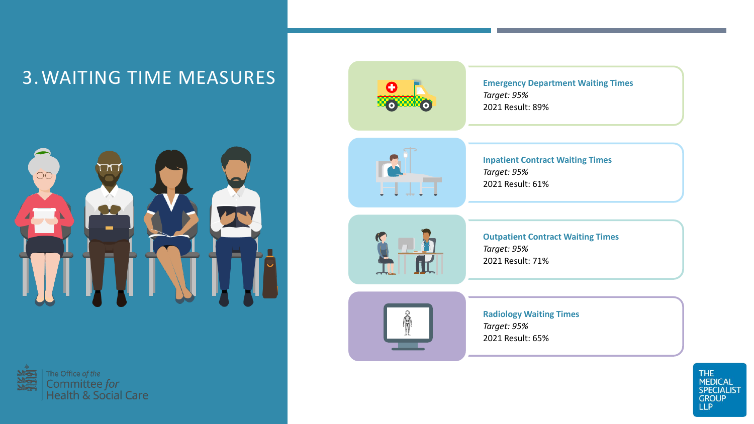### 3. WAITING TIME MEASURES







**Emergency Department Waiting Times** *Target: 95%* 2021 Result: 89%



**Inpatient Contract Waiting Times** *Target: 95%* 2021 Result: 61%



**Outpatient Contract Waiting Times** *Target: 95%* 2021 Result: 71%



**Radiology Waiting Times** *Target: 95%* 2021 Result: 65%

> THE<br>MEDICAL<br>SPECIALIST **GROUP LLP**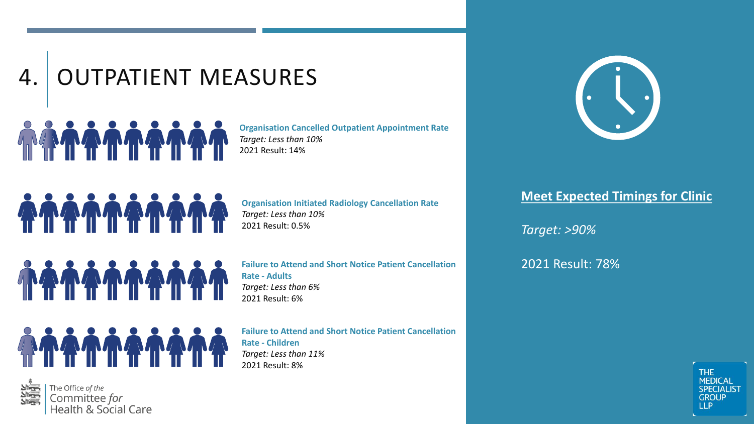# 4. OUTPATIENT MEASURES

**Organisation Cancelled Outpatient Appointment Rate** *Target: Less than 10%* 2021 Result: 14%

**OSSOS ANTISTAS** 

**Organisation Initiated Radiology Cancellation Rate** *Target: Less than 10%* 2021 Result: 0.5%

TA TA TA TA

**Failure to Attend and Short Notice Patient Cancellation Rate - Adults** *Target: Less than 6%* 2021 Result: 6%



**Failure to Attend and Short Notice Patient Cancellation Rate - Children** *Target: Less than 11%* 2021 Result: 8%



### **Meet Expected Timings for Clinic**

*Target: >90%*

2021 Result: 78%



**THE MEDICAL** 

**SPECIALIST** 

**GROUP IIP** 



The Office of the Committee for<br>Health & Social Care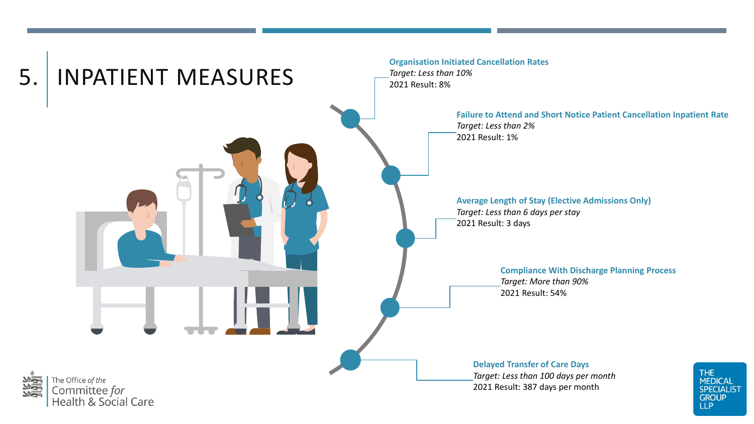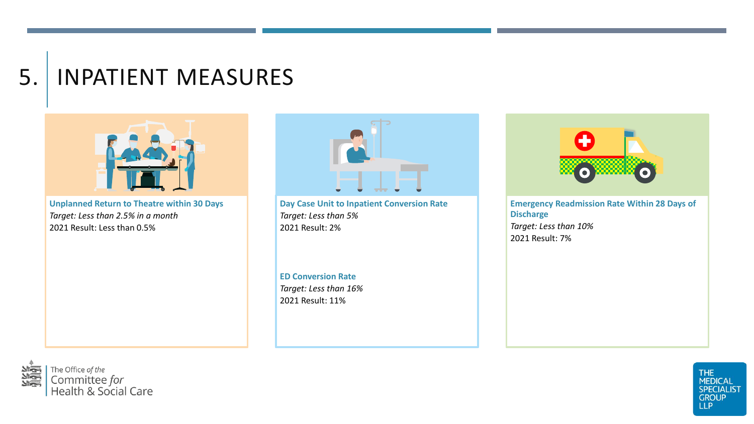## 5. INPATIENT MEASURES



**Unplanned Return to Theatre within 30 Days** *Target: Less than 2.5% in a month* 2021 Result: Less than 0.5%



**Day Case Unit to Inpatient Conversion Rate** *Target: Less than 5%* 2021 Result: 2%

**ED Conversion Rate** *Target: Less than 16%* 2021 Result: 11%



**Emergency Readmission Rate Within 28 Days of Discharge** *Target: Less than 10%* 2021 Result: 7%